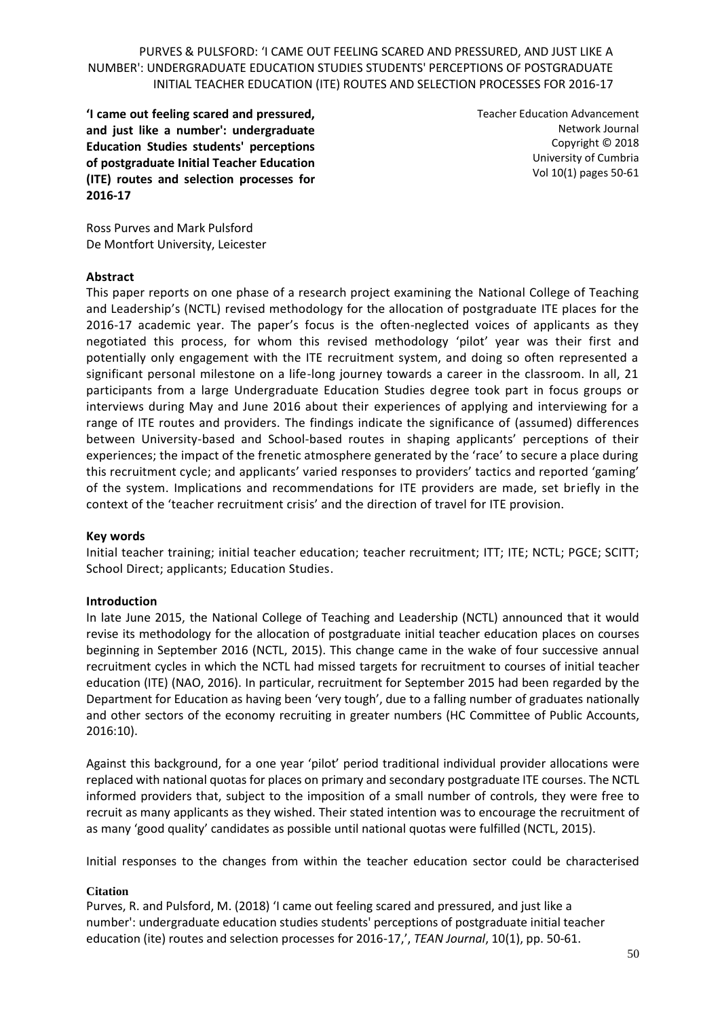**'I came out feeling scared and pressured, and just like a number': undergraduate Education Studies students' perceptions of postgraduate Initial Teacher Education (ITE) routes and selection processes for 2016-17**

Teacher Education Advancement Network Journal Copyright © 2018 University of Cumbria Vol 10(1) pages 50-61

Ross Purves and Mark Pulsford De Montfort University, Leicester

#### **Abstract**

This paper reports on one phase of a research project examining the National College of Teaching and Leadership's (NCTL) revised methodology for the allocation of postgraduate ITE places for the 2016-17 academic year. The paper's focus is the often-neglected voices of applicants as they negotiated this process, for whom this revised methodology 'pilot' year was their first and potentially only engagement with the ITE recruitment system, and doing so often represented a significant personal milestone on a life-long journey towards a career in the classroom. In all, 21 participants from a large Undergraduate Education Studies degree took part in focus groups or interviews during May and June 2016 about their experiences of applying and interviewing for a range of ITE routes and providers. The findings indicate the significance of (assumed) differences between University-based and School-based routes in shaping applicants' perceptions of their experiences; the impact of the frenetic atmosphere generated by the 'race' to secure a place during this recruitment cycle; and applicants' varied responses to providers' tactics and reported 'gaming' of the system. Implications and recommendations for ITE providers are made, set briefly in the context of the 'teacher recruitment crisis' and the direction of travel for ITE provision.

#### **Key words**

Initial teacher training; initial teacher education; teacher recruitment; ITT; ITE; NCTL; PGCE; SCITT; School Direct; applicants; Education Studies.

#### **Introduction**

In late June 2015, the National College of Teaching and Leadership (NCTL) announced that it would revise its methodology for the allocation of postgraduate initial teacher education places on courses beginning in September 2016 (NCTL, 2015). This change came in the wake of four successive annual recruitment cycles in which the NCTL had missed targets for recruitment to courses of initial teacher education (ITE) (NAO, 2016). In particular, recruitment for September 2015 had been regarded by the Department for Education as having been 'very tough', due to a falling number of graduates nationally and other sectors of the economy recruiting in greater numbers (HC Committee of Public Accounts, 2016:10).

Against this background, for a one year 'pilot' period traditional individual provider allocations were replaced with national quotas for places on primary and secondary postgraduate ITE courses. The NCTL informed providers that, subject to the imposition of a small number of controls, they were free to recruit as many applicants as they wished. Their stated intention was to encourage the recruitment of as many 'good quality' candidates as possible until national quotas were fulfilled (NCTL, 2015).

Initial responses to the changes from within the teacher education sector could be characterised

#### **Citation**

Purves, R. and Pulsford, M. (2018) 'I came out feeling scared and pressured, and just like a number': undergraduate education studies students' perceptions of postgraduate initial teacher education (ite) routes and selection processes for 2016-17,', *TEAN Journal*, 10(1), pp. 50-61.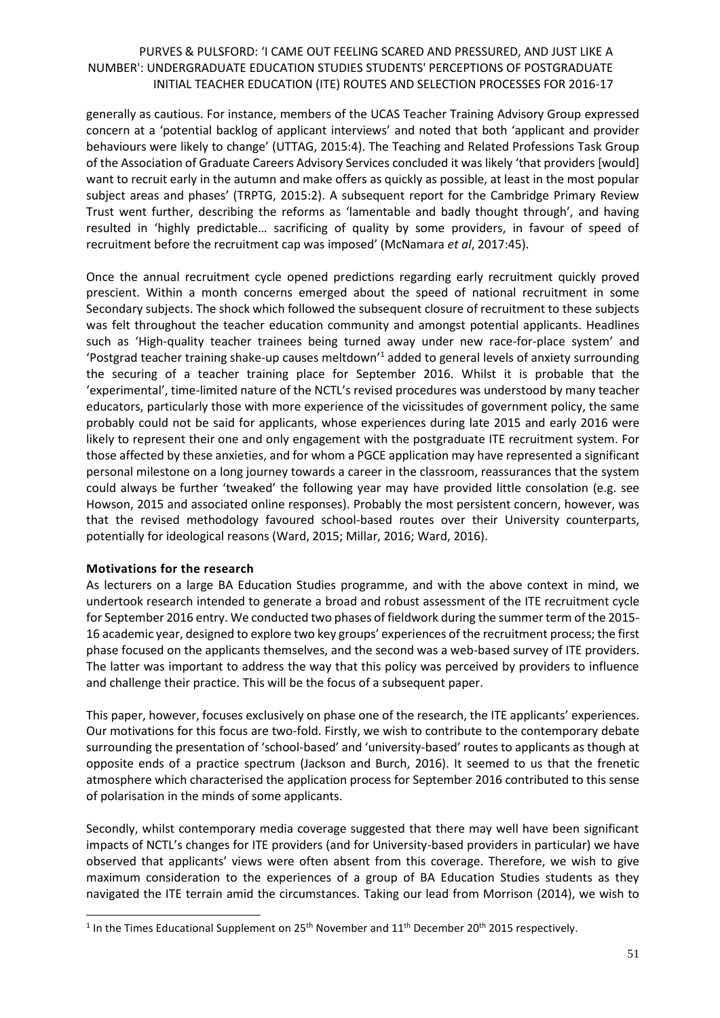generally as cautious. For instance, members of the UCAS Teacher Training Advisory Group expressed concern at a 'potential backlog of applicant interviews' and noted that both 'applicant and provider behaviours were likely to change' (UTTAG, 2015:4). The Teaching and Related Professions Task Group of the Association of Graduate Careers Advisory Services concluded it was likely 'that providers [would] want to recruit early in the autumn and make offers as quickly as possible, at least in the most popular subject areas and phases' (TRPTG, 2015:2). A subsequent report for the Cambridge Primary Review Trust went further, describing the reforms as 'lamentable and badly thought through', and having resulted in 'highly predictable… sacrificing of quality by some providers, in favour of speed of recruitment before the recruitment cap was imposed' (McNamara *et al*, 2017:45).

Once the annual recruitment cycle opened predictions regarding early recruitment quickly proved prescient. Within a month concerns emerged about the speed of national recruitment in some Secondary subjects. The shock which followed the subsequent closure of recruitment to these subjects was felt throughout the teacher education community and amongst potential applicants. Headlines such as 'High-quality teacher trainees being turned away under new race-for-place system' and 'Postgrad teacher training shake-up causes meltdown'<sup>1</sup> added to general levels of anxiety surrounding the securing of a teacher training place for September 2016. Whilst it is probable that the 'experimental', time-limited nature of the NCTL's revised procedures was understood by many teacher educators, particularly those with more experience of the vicissitudes of government policy, the same probably could not be said for applicants, whose experiences during late 2015 and early 2016 were likely to represent their one and only engagement with the postgraduate ITE recruitment system. For those affected by these anxieties, and for whom a PGCE application may have represented a significant personal milestone on a long journey towards a career in the classroom, reassurances that the system could always be further 'tweaked' the following year may have provided little consolation (e.g. see Howson, 2015 and associated online responses). Probably the most persistent concern, however, was that the revised methodology favoured school-based routes over their University counterparts, potentially for ideological reasons (Ward, 2015; Millar, 2016; Ward, 2016).

#### **Motivations for the research**

 $\overline{\phantom{a}}$ 

As lecturers on a large BA Education Studies programme, and with the above context in mind, we undertook research intended to generate a broad and robust assessment of the ITE recruitment cycle for September 2016 entry. We conducted two phases of fieldwork during the summer term of the 2015- 16 academic year, designed to explore two key groups' experiences of the recruitment process; the first phase focused on the applicants themselves, and the second was a web-based survey of ITE providers. The latter was important to address the way that this policy was perceived by providers to influence and challenge their practice. This will be the focus of a subsequent paper.

This paper, however, focuses exclusively on phase one of the research, the ITE applicants' experiences. Our motivations for this focus are two-fold. Firstly, we wish to contribute to the contemporary debate surrounding the presentation of 'school-based' and 'university-based' routes to applicants as though at opposite ends of a practice spectrum (Jackson and Burch, 2016). It seemed to us that the frenetic atmosphere which characterised the application process for September 2016 contributed to this sense of polarisation in the minds of some applicants.

Secondly, whilst contemporary media coverage suggested that there may well have been significant impacts of NCTL's changes for ITE providers (and for University-based providers in particular) we have observed that applicants' views were often absent from this coverage. Therefore, we wish to give maximum consideration to the experiences of a group of BA Education Studies students as they navigated the ITE terrain amid the circumstances. Taking our lead from Morrison (2014), we wish to

<sup>&</sup>lt;sup>1</sup> In the Times Educational Supplement on 25<sup>th</sup> November and 11<sup>th</sup> December 20<sup>th</sup> 2015 respectively.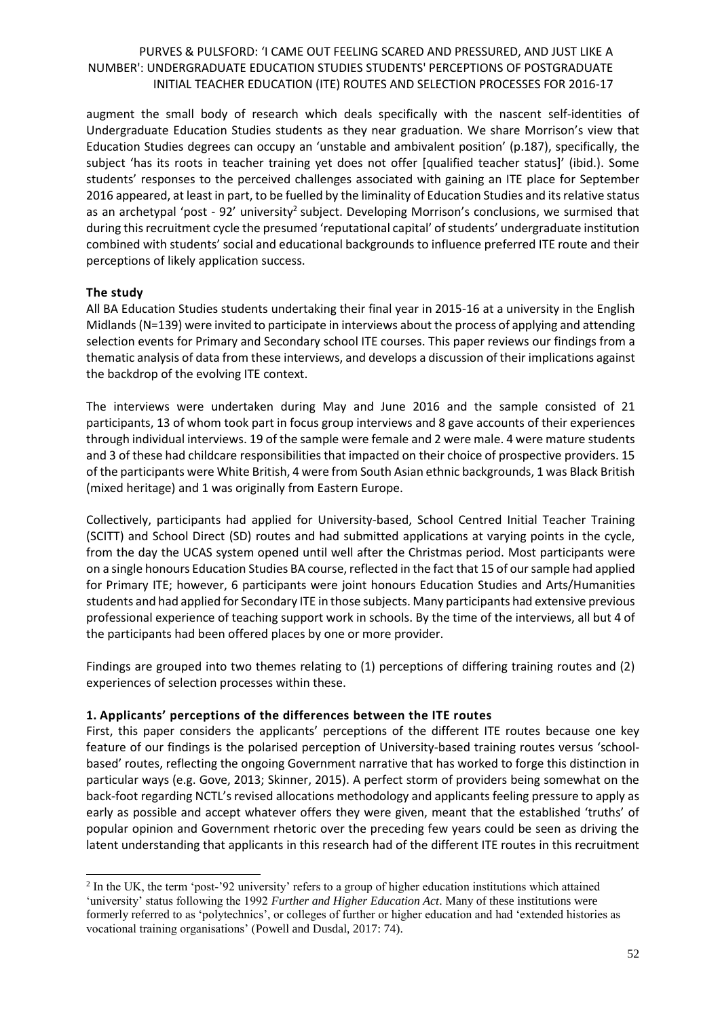augment the small body of research which deals specifically with the nascent self-identities of Undergraduate Education Studies students as they near graduation. We share Morrison's view that Education Studies degrees can occupy an 'unstable and ambivalent position' (p.187), specifically, the subject 'has its roots in teacher training yet does not offer [qualified teacher status]' (ibid.). Some students' responses to the perceived challenges associated with gaining an ITE place for September 2016 appeared, at least in part, to be fuelled by the liminality of Education Studies and its relative status as an archetypal 'post - 92' university<sup>2</sup> subject. Developing Morrison's conclusions, we surmised that during this recruitment cycle the presumed 'reputational capital' of students' undergraduate institution combined with students' social and educational backgrounds to influence preferred ITE route and their perceptions of likely application success.

#### **The study**

 $\overline{\phantom{a}}$ 

All BA Education Studies students undertaking their final year in 2015-16 at a university in the English Midlands(N=139) were invited to participate in interviews about the process of applying and attending selection events for Primary and Secondary school ITE courses. This paper reviews our findings from a thematic analysis of data from these interviews, and develops a discussion of their implications against the backdrop of the evolving ITE context.

The interviews were undertaken during May and June 2016 and the sample consisted of 21 participants, 13 of whom took part in focus group interviews and 8 gave accounts of their experiences through individual interviews. 19 of the sample were female and 2 were male. 4 were mature students and 3 of these had childcare responsibilities that impacted on their choice of prospective providers. 15 of the participants were White British, 4 were from South Asian ethnic backgrounds, 1 was Black British (mixed heritage) and 1 was originally from Eastern Europe.

Collectively, participants had applied for University-based, School Centred Initial Teacher Training (SCITT) and School Direct (SD) routes and had submitted applications at varying points in the cycle, from the day the UCAS system opened until well after the Christmas period. Most participants were on a single honours Education Studies BA course, reflected in the fact that 15 of our sample had applied for Primary ITE; however, 6 participants were joint honours Education Studies and Arts/Humanities students and had applied for Secondary ITE in those subjects. Many participants had extensive previous professional experience of teaching support work in schools. By the time of the interviews, all but 4 of the participants had been offered places by one or more provider.

Findings are grouped into two themes relating to (1) perceptions of differing training routes and (2) experiences of selection processes within these.

#### **1. Applicants' perceptions of the differences between the ITE routes**

First, this paper considers the applicants' perceptions of the different ITE routes because one key feature of our findings is the polarised perception of University-based training routes versus 'schoolbased' routes, reflecting the ongoing Government narrative that has worked to forge this distinction in particular ways (e.g. Gove, 2013; Skinner, 2015). A perfect storm of providers being somewhat on the back-foot regarding NCTL's revised allocations methodology and applicants feeling pressure to apply as early as possible and accept whatever offers they were given, meant that the established 'truths' of popular opinion and Government rhetoric over the preceding few years could be seen as driving the latent understanding that applicants in this research had of the different ITE routes in this recruitment

 $2$  In the UK, the term 'post-'92 university' refers to a group of higher education institutions which attained 'university' status following the 1992 *Further and Higher Education Act*. Many of these institutions were formerly referred to as 'polytechnics', or colleges of further or higher education and had 'extended histories as vocational training organisations' (Powell and Dusdal, 2017: 74).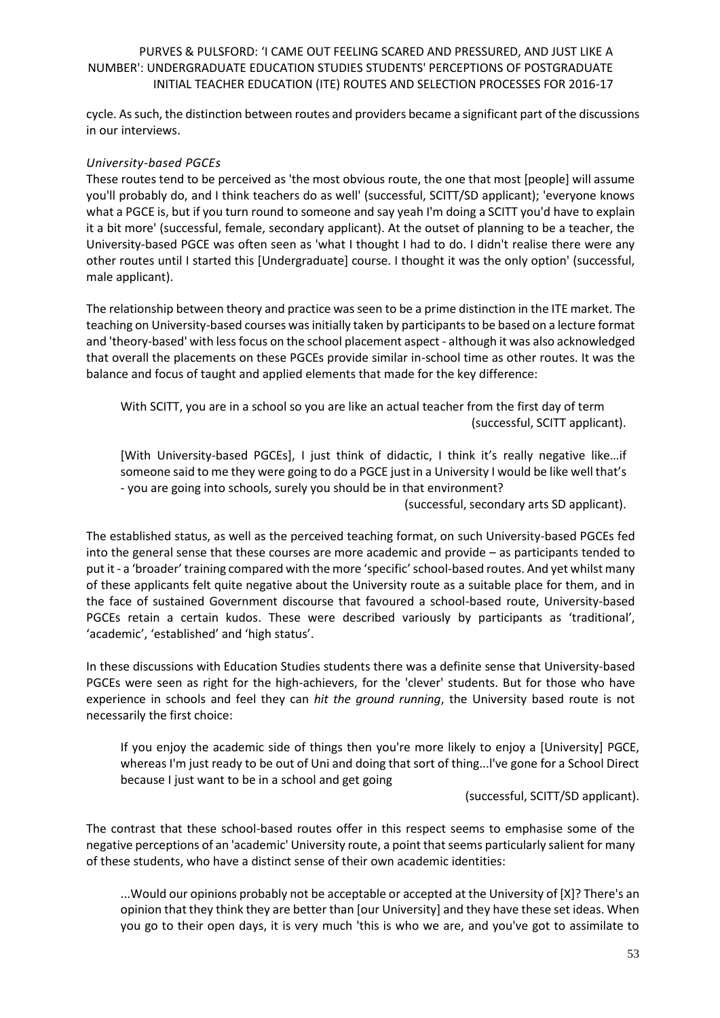cycle. As such, the distinction between routes and providers became a significant part of the discussions in our interviews.

#### *University-based PGCEs*

These routes tend to be perceived as 'the most obvious route, the one that most [people] will assume you'll probably do, and I think teachers do as well' (successful, SCITT/SD applicant); 'everyone knows what a PGCE is, but if you turn round to someone and say yeah I'm doing a SCITT you'd have to explain it a bit more' (successful, female, secondary applicant). At the outset of planning to be a teacher, the University-based PGCE was often seen as 'what I thought I had to do. I didn't realise there were any other routes until I started this [Undergraduate] course. I thought it was the only option' (successful, male applicant).

The relationship between theory and practice was seen to be a prime distinction in the ITE market. The teaching on University-based courses was initially taken by participants to be based on a lecture format and 'theory-based' with less focus on the school placement aspect - although it was also acknowledged that overall the placements on these PGCEs provide similar in-school time as other routes. It was the balance and focus of taught and applied elements that made for the key difference:

With SCITT, you are in a school so you are like an actual teacher from the first day of term (successful, SCITT applicant).

[With University-based PGCEs], I just think of didactic, I think it's really negative like…if someone said to me they were going to do a PGCE just in a University I would be like well that's - you are going into schools, surely you should be in that environment?

(successful, secondary arts SD applicant).

The established status, as well as the perceived teaching format, on such University-based PGCEs fed into the general sense that these courses are more academic and provide – as participants tended to put it - a 'broader' training compared with the more 'specific' school-based routes. And yet whilst many of these applicants felt quite negative about the University route as a suitable place for them, and in the face of sustained Government discourse that favoured a school-based route, University-based PGCEs retain a certain kudos. These were described variously by participants as 'traditional', 'academic', 'established' and 'high status'.

In these discussions with Education Studies students there was a definite sense that University-based PGCEs were seen as right for the high-achievers, for the 'clever' students. But for those who have experience in schools and feel they can *hit the ground running*, the University based route is not necessarily the first choice:

If you enjoy the academic side of things then you're more likely to enjoy a [University] PGCE, whereas I'm just ready to be out of Uni and doing that sort of thing...l've gone for a School Direct because I just want to be in a school and get going

(successful, SCITT/SD applicant).

The contrast that these school-based routes offer in this respect seems to emphasise some of the negative perceptions of an 'academic' University route, a point that seems particularly salient for many of these students, who have a distinct sense of their own academic identities:

...Would our opinions probably not be acceptable or accepted at the University of [X]? There's an opinion that they think they are better than [our University] and they have these set ideas. When you go to their open days, it is very much 'this is who we are, and you've got to assimilate to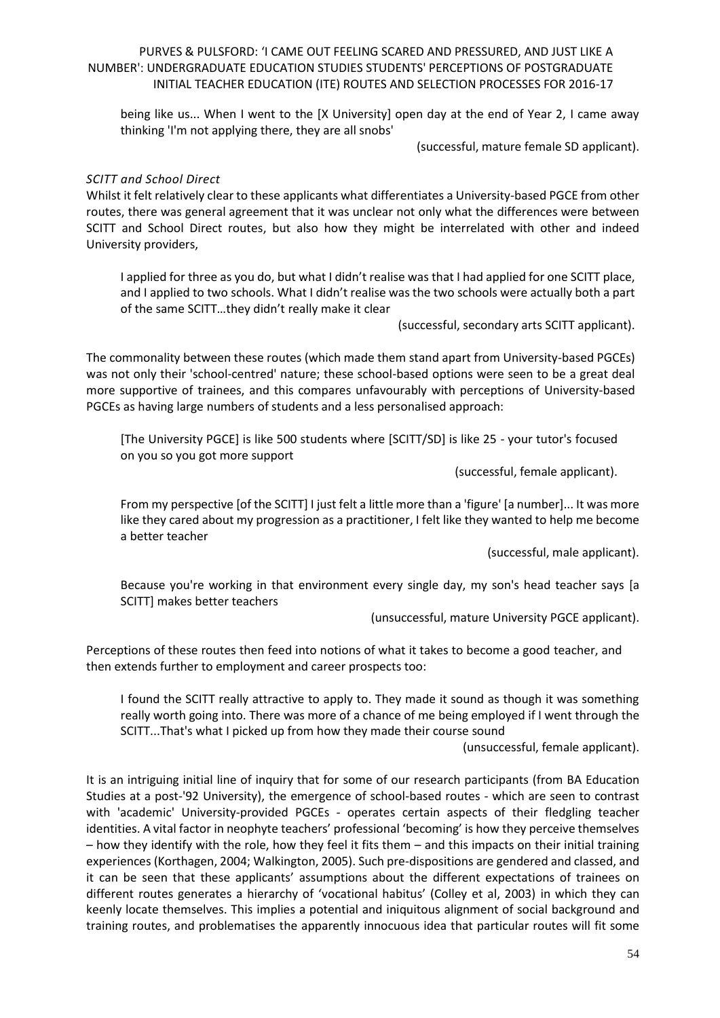being like us... When I went to the [X University] open day at the end of Year 2, I came away thinking 'I'm not applying there, they are all snobs'

(successful, mature female SD applicant).

#### *SCITT and School Direct*

Whilst it felt relatively clear to these applicants what differentiates a University-based PGCE from other routes, there was general agreement that it was unclear not only what the differences were between SCITT and School Direct routes, but also how they might be interrelated with other and indeed University providers,

I applied for three as you do, but what I didn't realise was that I had applied for one SCITT place, and I applied to two schools. What I didn't realise was the two schools were actually both a part of the same SCITT…they didn't really make it clear

(successful, secondary arts SCITT applicant).

The commonality between these routes (which made them stand apart from University-based PGCEs) was not only their 'school-centred' nature; these school-based options were seen to be a great deal more supportive of trainees, and this compares unfavourably with perceptions of University-based PGCEs as having large numbers of students and a less personalised approach:

[The University PGCE] is like 500 students where [SCITT/SD] is like 25 - your tutor's focused on you so you got more support

(successful, female applicant).

From my perspective [of the SCITT] I just felt a little more than a 'figure' [a number]... It was more like they cared about my progression as a practitioner, I felt like they wanted to help me become a better teacher

(successful, male applicant).

Because you're working in that environment every single day, my son's head teacher says [a SCITT] makes better teachers

(unsuccessful, mature University PGCE applicant).

Perceptions of these routes then feed into notions of what it takes to become a good teacher, and then extends further to employment and career prospects too:

I found the SCITT really attractive to apply to. They made it sound as though it was something really worth going into. There was more of a chance of me being employed if I went through the SCITT...That's what I picked up from how they made their course sound

(unsuccessful, female applicant).

It is an intriguing initial line of inquiry that for some of our research participants (from BA Education Studies at a post-'92 University), the emergence of school-based routes - which are seen to contrast with 'academic' University-provided PGCEs - operates certain aspects of their fledgling teacher identities. A vital factor in neophyte teachers' professional 'becoming' is how they perceive themselves – how they identify with the role, how they feel it fits them – and this impacts on their initial training experiences (Korthagen, 2004; Walkington, 2005). Such pre-dispositions are gendered and classed, and it can be seen that these applicants' assumptions about the different expectations of trainees on different routes generates a hierarchy of 'vocational habitus' (Colley et al, 2003) in which they can keenly locate themselves. This implies a potential and iniquitous alignment of social background and training routes, and problematises the apparently innocuous idea that particular routes will fit some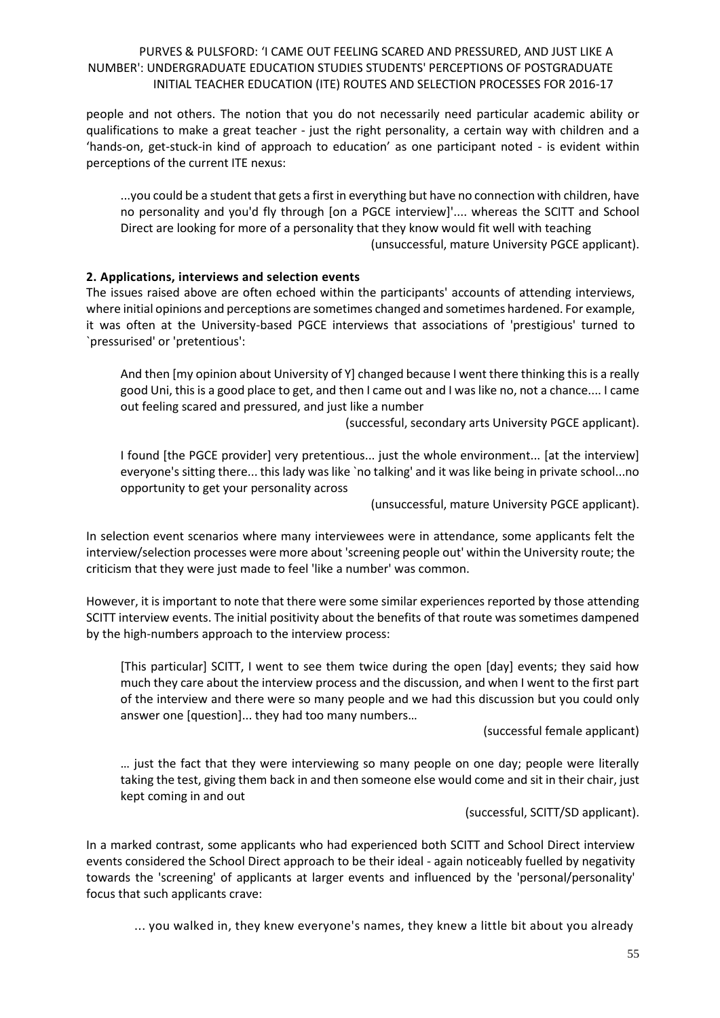people and not others. The notion that you do not necessarily need particular academic ability or qualifications to make a great teacher - just the right personality, a certain way with children and a 'hands-on, get-stuck-in kind of approach to education' as one participant noted - is evident within perceptions of the current ITE nexus:

...you could be a student that gets a first in everything but have no connection with children, have no personality and you'd fly through [on a PGCE interview]'.... whereas the SCITT and School Direct are looking for more of a personality that they know would fit well with teaching (unsuccessful, mature University PGCE applicant).

#### **2. Applications, interviews and selection events**

The issues raised above are often echoed within the participants' accounts of attending interviews, where initial opinions and perceptions are sometimes changed and sometimes hardened. For example, it was often at the University-based PGCE interviews that associations of 'prestigious' turned to `pressurised' or 'pretentious':

And then [my opinion about University of Y] changed because I went there thinking this is a really good Uni, this is a good place to get, and then I came out and I was like no, not a chance.... I came out feeling scared and pressured, and just like a number

(successful, secondary arts University PGCE applicant).

I found [the PGCE provider] very pretentious... just the whole environment... [at the interview] everyone's sitting there... this lady was like `no talking' and it was like being in private school...no opportunity to get your personality across

(unsuccessful, mature University PGCE applicant).

In selection event scenarios where many interviewees were in attendance, some applicants felt the interview/selection processes were more about 'screening people out' within the University route; the criticism that they were just made to feel 'like a number' was common.

However, it is important to note that there were some similar experiences reported by those attending SCITT interview events. The initial positivity about the benefits of that route was sometimes dampened by the high-numbers approach to the interview process:

[This particular] SCITT, I went to see them twice during the open [day] events; they said how much they care about the interview process and the discussion, and when I went to the first part of the interview and there were so many people and we had this discussion but you could only answer one [question]... they had too many numbers…

(successful female applicant)

… just the fact that they were interviewing so many people on one day; people were literally taking the test, giving them back in and then someone else would come and sit in their chair, just kept coming in and out

(successful, SCITT/SD applicant).

In a marked contrast, some applicants who had experienced both SCITT and School Direct interview events considered the School Direct approach to be their ideal - again noticeably fuelled by negativity towards the 'screening' of applicants at larger events and influenced by the 'personal/personality' focus that such applicants crave:

... you walked in, they knew everyone's names, they knew a little bit about you already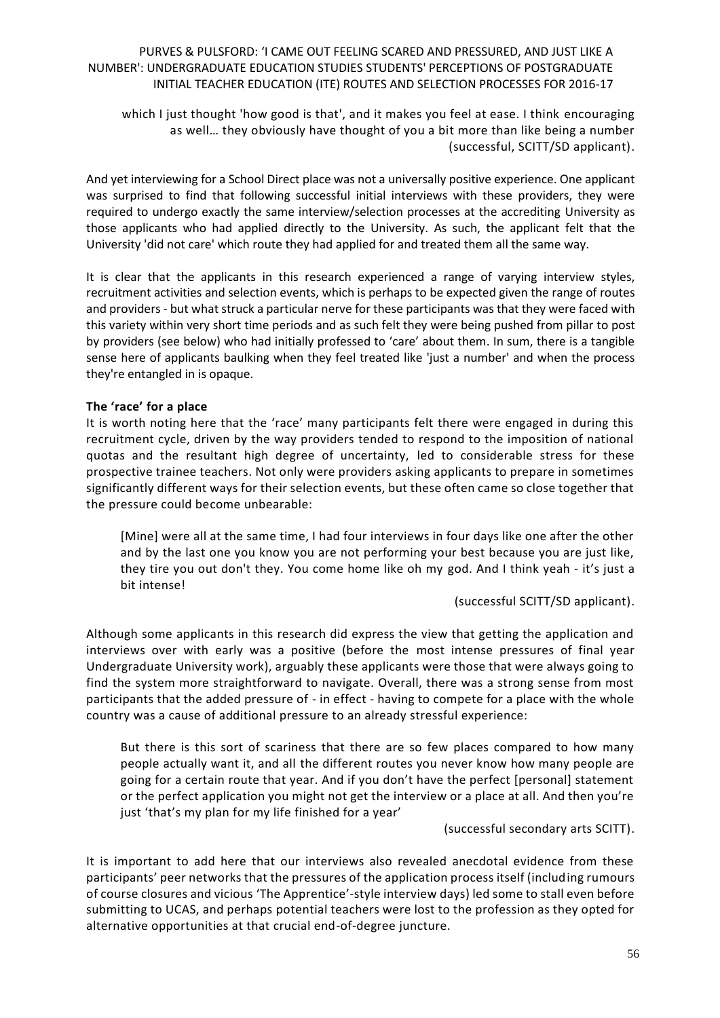which I just thought 'how good is that', and it makes you feel at ease. I think encouraging as well… they obviously have thought of you a bit more than like being a number (successful, SCITT/SD applicant).

And yet interviewing for a School Direct place was not a universally positive experience. One applicant was surprised to find that following successful initial interviews with these providers, they were required to undergo exactly the same interview/selection processes at the accrediting University as those applicants who had applied directly to the University. As such, the applicant felt that the University 'did not care' which route they had applied for and treated them all the same way.

It is clear that the applicants in this research experienced a range of varying interview styles, recruitment activities and selection events, which is perhaps to be expected given the range of routes and providers - but what struck a particular nerve for these participants was that they were faced with this variety within very short time periods and as such felt they were being pushed from pillar to post by providers (see below) who had initially professed to 'care' about them. In sum, there is a tangible sense here of applicants baulking when they feel treated like 'just a number' and when the process they're entangled in is opaque.

#### **The 'race' for a place**

It is worth noting here that the 'race' many participants felt there were engaged in during this recruitment cycle, driven by the way providers tended to respond to the imposition of national quotas and the resultant high degree of uncertainty, led to considerable stress for these prospective trainee teachers. Not only were providers asking applicants to prepare in sometimes significantly different ways for their selection events, but these often came so close together that the pressure could become unbearable:

[Mine] were all at the same time, I had four interviews in four days like one after the other and by the last one you know you are not performing your best because you are just like, they tire you out don't they. You come home like oh my god. And I think yeah - it's just a bit intense!

(successful SCITT/SD applicant).

Although some applicants in this research did express the view that getting the application and interviews over with early was a positive (before the most intense pressures of final year Undergraduate University work), arguably these applicants were those that were always going to find the system more straightforward to navigate. Overall, there was a strong sense from most participants that the added pressure of - in effect - having to compete for a place with the whole country was a cause of additional pressure to an already stressful experience:

But there is this sort of scariness that there are so few places compared to how many people actually want it, and all the different routes you never know how many people are going for a certain route that year. And if you don't have the perfect [personal] statement or the perfect application you might not get the interview or a place at all. And then you're just 'that's my plan for my life finished for a year'

(successful secondary arts SCITT).

It is important to add here that our interviews also revealed anecdotal evidence from these participants' peer networks that the pressures of the application process itself (including rumours of course closures and vicious 'The Apprentice'-style interview days) led some to stall even before submitting to UCAS, and perhaps potential teachers were lost to the profession as they opted for alternative opportunities at that crucial end-of-degree juncture.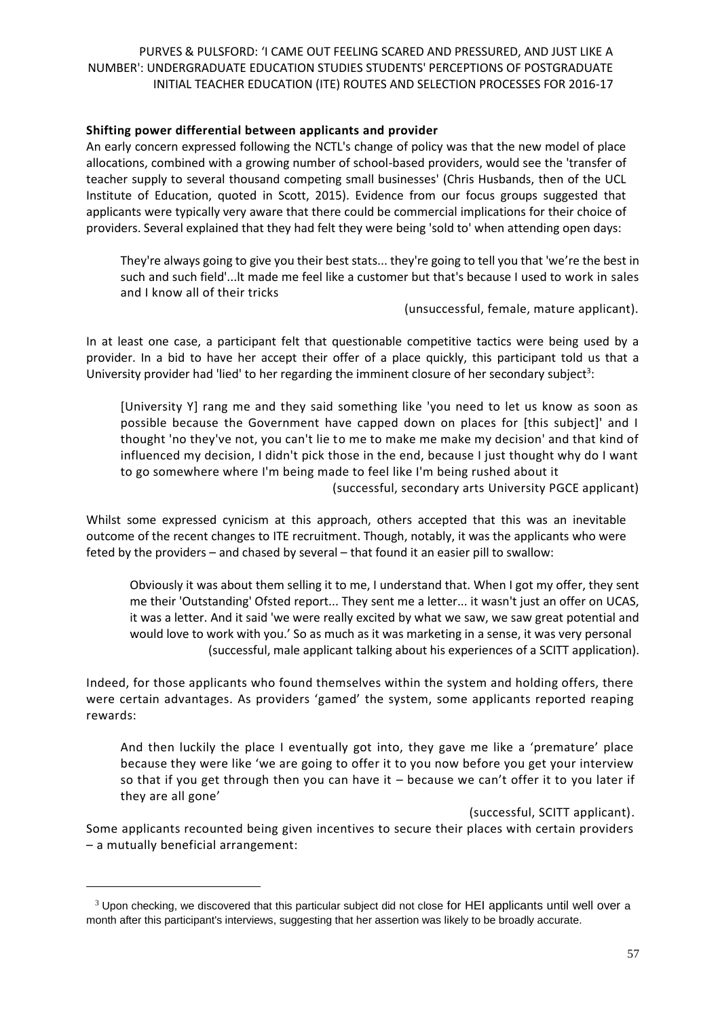#### **Shifting power differential between applicants and provider**

An early concern expressed following the NCTL's change of policy was that the new model of place allocations, combined with a growing number of school-based providers, would see the 'transfer of teacher supply to several thousand competing small businesses' (Chris Husbands, then of the UCL Institute of Education, quoted in Scott, 2015). Evidence from our focus groups suggested that applicants were typically very aware that there could be commercial implications for their choice of providers. Several explained that they had felt they were being 'sold to' when attending open days:

They're always going to give you their best stats... they're going to tell you that 'we're the best in such and such field'...lt made me feel like a customer but that's because I used to work in sales and I know all of their tricks

(unsuccessful, female, mature applicant).

In at least one case, a participant felt that questionable competitive tactics were being used by a provider. In a bid to have her accept their offer of a place quickly, this participant told us that a University provider had 'lied' to her regarding the imminent closure of her secondary subject<sup>3</sup>:

[University Y] rang me and they said something like 'you need to let us know as soon as possible because the Government have capped down on places for [this subject]' and I thought 'no they've not, you can't lie to me to make me make my decision' and that kind of influenced my decision, I didn't pick those in the end, because I just thought why do I want to go somewhere where I'm being made to feel like I'm being rushed about it (successful, secondary arts University PGCE applicant)

Whilst some expressed cynicism at this approach, others accepted that this was an inevitable outcome of the recent changes to ITE recruitment. Though, notably, it was the applicants who were feted by the providers – and chased by several – that found it an easier pill to swallow:

Obviously it was about them selling it to me, I understand that. When I got my offer, they sent me their 'Outstanding' Ofsted report... They sent me a letter... it wasn't just an offer on UCAS, it was a letter. And it said 'we were really excited by what we saw, we saw great potential and would love to work with you.' So as much as it was marketing in a sense, it was very personal (successful, male applicant talking about his experiences of a SCITT application).

Indeed, for those applicants who found themselves within the system and holding offers, there were certain advantages. As providers 'gamed' the system, some applicants reported reaping rewards:

And then luckily the place I eventually got into, they gave me like a 'premature' place because they were like 'we are going to offer it to you now before you get your interview so that if you get through then you can have it  $-$  because we can't offer it to you later if they are all gone'

(successful, SCITT applicant).

Some applicants recounted being given incentives to secure their places with certain providers – a mutually beneficial arrangement:

 $\overline{\phantom{a}}$ 

 $3$  Upon checking, we discovered that this particular subject did not close for HEI applicants until well over a month after this participant's interviews, suggesting that her assertion was likely to be broadly accurate.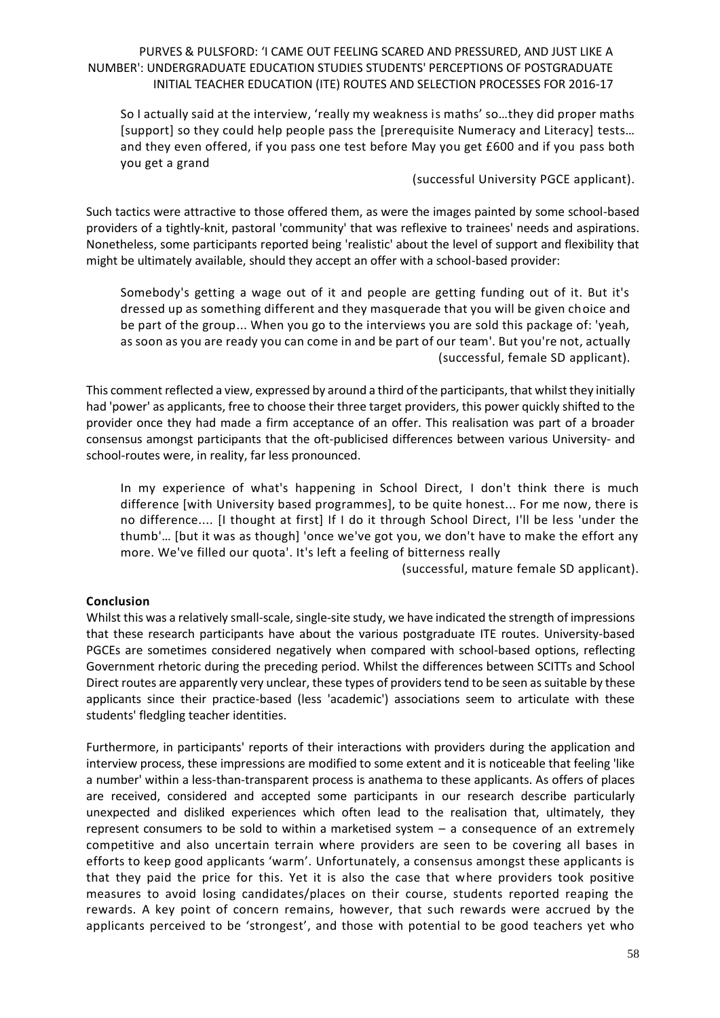So I actually said at the interview, 'really my weakness is maths' so…they did proper maths [support] so they could help people pass the [prerequisite Numeracy and Literacy] tests… and they even offered, if you pass one test before May you get £600 and if you pass both you get a grand

#### (successful University PGCE applicant).

Such tactics were attractive to those offered them, as were the images painted by some school-based providers of a tightly-knit, pastoral 'community' that was reflexive to trainees' needs and aspirations. Nonetheless, some participants reported being 'realistic' about the level of support and flexibility that might be ultimately available, should they accept an offer with a school-based provider:

Somebody's getting a wage out of it and people are getting funding out of it. But it's dressed up as something different and they masquerade that you will be given choice and be part of the group... When you go to the interviews you are sold this package of: 'yeah, as soon as you are ready you can come in and be part of our team'. But you're not, actually (successful, female SD applicant).

This comment reflected a view, expressed by around a third of the participants, that whilst they initially had 'power' as applicants, free to choose their three target providers, this power quickly shifted to the provider once they had made a firm acceptance of an offer. This realisation was part of a broader consensus amongst participants that the oft-publicised differences between various University- and school-routes were, in reality, far less pronounced.

In my experience of what's happening in School Direct, I don't think there is much difference [with University based programmes], to be quite honest... For me now, there is no difference.... [I thought at first] If I do it through School Direct, I'll be less 'under the thumb'… [but it was as though] 'once we've got you, we don't have to make the effort any more. We've filled our quota'. It's left a feeling of bitterness really

(successful, mature female SD applicant).

# **Conclusion**

Whilst this was a relatively small-scale, single-site study, we have indicated the strength of impressions that these research participants have about the various postgraduate ITE routes. University-based PGCEs are sometimes considered negatively when compared with school-based options, reflecting Government rhetoric during the preceding period. Whilst the differences between SCITTs and School Direct routes are apparently very unclear, these types of providerstend to be seen as suitable by these applicants since their practice-based (less 'academic') associations seem to articulate with these students' fledgling teacher identities.

Furthermore, in participants' reports of their interactions with providers during the application and interview process, these impressions are modified to some extent and it is noticeable that feeling 'like a number' within a less-than-transparent process is anathema to these applicants. As offers of places are received, considered and accepted some participants in our research describe particularly unexpected and disliked experiences which often lead to the realisation that, ultimately, they represent consumers to be sold to within a marketised system – a consequence of an extremely competitive and also uncertain terrain where providers are seen to be covering all bases in efforts to keep good applicants 'warm'. Unfortunately, a consensus amongst these applicants is that they paid the price for this. Yet it is also the case that where providers took positive measures to avoid losing candidates/places on their course, students reported reaping the rewards. A key point of concern remains, however, that such rewards were accrued by the applicants perceived to be 'strongest', and those with potential to be good teachers yet who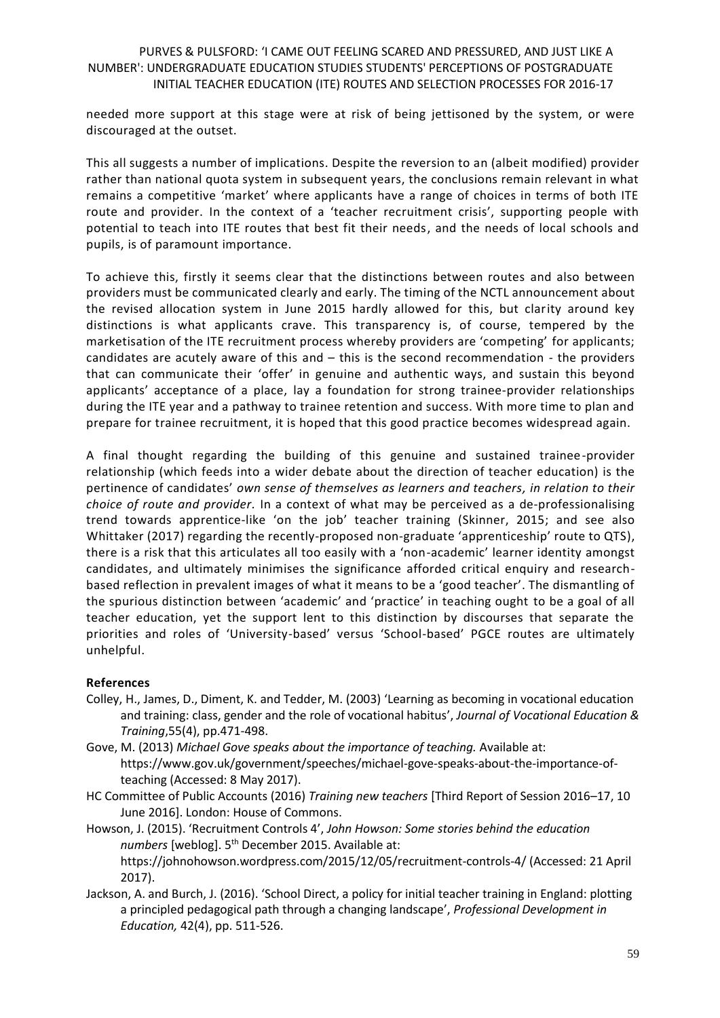needed more support at this stage were at risk of being jettisoned by the system, or were discouraged at the outset.

This all suggests a number of implications. Despite the reversion to an (albeit modified) provider rather than national quota system in subsequent years, the conclusions remain relevant in what remains a competitive 'market' where applicants have a range of choices in terms of both ITE route and provider. In the context of a 'teacher recruitment crisis', supporting people with potential to teach into ITE routes that best fit their needs, and the needs of local schools and pupils, is of paramount importance.

To achieve this, firstly it seems clear that the distinctions between routes and also between providers must be communicated clearly and early. The timing of the NCTL announcement about the revised allocation system in June 2015 hardly allowed for this, but clarity around key distinctions is what applicants crave. This transparency is, of course, tempered by the marketisation of the ITE recruitment process whereby providers are 'competing' for applicants; candidates are acutely aware of this and – this is the second recommendation - the providers that can communicate their 'offer' in genuine and authentic ways, and sustain this beyond applicants' acceptance of a place, lay a foundation for strong trainee-provider relationships during the ITE year and a pathway to trainee retention and success. With more time to plan and prepare for trainee recruitment, it is hoped that this good practice becomes widespread again.

A final thought regarding the building of this genuine and sustained trainee-provider relationship (which feeds into a wider debate about the direction of teacher education) is the pertinence of candidates' *own sense of themselves as learners and teachers, in relation to their choice of route and provider.* In a context of what may be perceived as a de-professionalising trend towards apprentice-like 'on the job' teacher training (Skinner, 2015; and see also Whittaker (2017) regarding the recently-proposed non-graduate 'apprenticeship' route to QTS), there is a risk that this articulates all too easily with a 'non-academic' learner identity amongst candidates, and ultimately minimises the significance afforded critical enquiry and researchbased reflection in prevalent images of what it means to be a 'good teacher'. The dismantling of the spurious distinction between 'academic' and 'practice' in teaching ought to be a goal of all teacher education, yet the support lent to this distinction by discourses that separate the priorities and roles of 'University-based' versus 'School-based' PGCE routes are ultimately unhelpful.

# **References**

- Colley, H., James, D., Diment, K. and Tedder, M. (2003) 'Learning as becoming in vocational education and training: class, gender and the role of vocational habitus', *Journal of Vocational Education & Training*,55(4), pp.471-498.
- Gove, M. (2013) *Michael Gove speaks about the importance of teaching.* Available at: https://www.gov.uk/government/speeches/michael-gove-speaks-about-the-importance-ofteaching (Accessed: 8 May 2017).
- HC Committee of Public Accounts (2016) *Training new teachers* [Third Report of Session 2016–17, 10 June 2016]. London: House of Commons.

Howson, J. (2015). 'Recruitment Controls 4', *John Howson: Some stories behind the education*  numbers [weblog]. 5<sup>th</sup> December 2015. Available at: https://johnohowson.wordpress.com/2015/12/05/recruitment-controls-4/ (Accessed: 21 April 2017).

Jackson, A. and Burch, J. (2016). 'School Direct, a policy for initial teacher training in England: plotting a principled pedagogical path through a changing landscape', *Professional Development in Education,* 42(4), pp. 511-526.